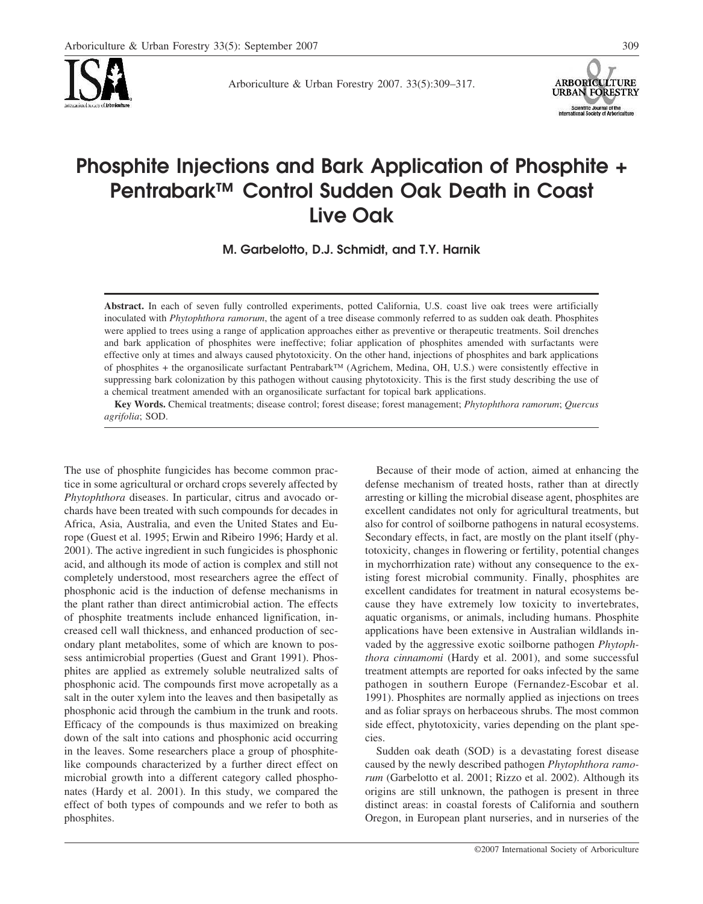

Arboriculture & Urban Forestry 2007. 33(5):309–317.



# **Phosphite Injections and Bark Application of Phosphite + Pentrabark™ Control Sudden Oak Death in Coast Live Oak**

**M. Garbelotto, D.J. Schmidt, and T.Y. Harnik**

**Abstract.** In each of seven fully controlled experiments, potted California, U.S. coast live oak trees were artificially inoculated with *Phytophthora ramorum*, the agent of a tree disease commonly referred to as sudden oak death. Phosphites were applied to trees using a range of application approaches either as preventive or therapeutic treatments. Soil drenches and bark application of phosphites were ineffective; foliar application of phosphites amended with surfactants were effective only at times and always caused phytotoxicity. On the other hand, injections of phosphites and bark applications of phosphites + the organosilicate surfactant Pentrabark™ (Agrichem, Medina, OH, U.S.) were consistently effective in suppressing bark colonization by this pathogen without causing phytotoxicity. This is the first study describing the use of a chemical treatment amended with an organosilicate surfactant for topical bark applications.

**Key Words.** Chemical treatments; disease control; forest disease; forest management; *Phytophthora ramorum*; *Quercus agrifolia*; SOD.

The use of phosphite fungicides has become common practice in some agricultural or orchard crops severely affected by *Phytophthora* diseases. In particular, citrus and avocado orchards have been treated with such compounds for decades in Africa, Asia, Australia, and even the United States and Europe (Guest et al. 1995; Erwin and Ribeiro 1996; Hardy et al. 2001). The active ingredient in such fungicides is phosphonic acid, and although its mode of action is complex and still not completely understood, most researchers agree the effect of phosphonic acid is the induction of defense mechanisms in the plant rather than direct antimicrobial action. The effects of phosphite treatments include enhanced lignification, increased cell wall thickness, and enhanced production of secondary plant metabolites, some of which are known to possess antimicrobial properties (Guest and Grant 1991). Phosphites are applied as extremely soluble neutralized salts of phosphonic acid. The compounds first move acropetally as a salt in the outer xylem into the leaves and then basipetally as phosphonic acid through the cambium in the trunk and roots. Efficacy of the compounds is thus maximized on breaking down of the salt into cations and phosphonic acid occurring in the leaves. Some researchers place a group of phosphitelike compounds characterized by a further direct effect on microbial growth into a different category called phosphonates (Hardy et al. 2001). In this study, we compared the effect of both types of compounds and we refer to both as phosphites.

Because of their mode of action, aimed at enhancing the defense mechanism of treated hosts, rather than at directly arresting or killing the microbial disease agent, phosphites are excellent candidates not only for agricultural treatments, but also for control of soilborne pathogens in natural ecosystems. Secondary effects, in fact, are mostly on the plant itself (phytotoxicity, changes in flowering or fertility, potential changes in mychorrhization rate) without any consequence to the existing forest microbial community. Finally, phosphites are excellent candidates for treatment in natural ecosystems because they have extremely low toxicity to invertebrates, aquatic organisms, or animals, including humans. Phosphite applications have been extensive in Australian wildlands invaded by the aggressive exotic soilborne pathogen *Phytophthora cinnamomi* (Hardy et al. 2001), and some successful treatment attempts are reported for oaks infected by the same pathogen in southern Europe (Fernandez-Escobar et al. 1991). Phosphites are normally applied as injections on trees and as foliar sprays on herbaceous shrubs. The most common side effect, phytotoxicity, varies depending on the plant species.

Sudden oak death (SOD) is a devastating forest disease caused by the newly described pathogen *Phytophthora ramorum* (Garbelotto et al. 2001; Rizzo et al. 2002). Although its origins are still unknown, the pathogen is present in three distinct areas: in coastal forests of California and southern Oregon, in European plant nurseries, and in nurseries of the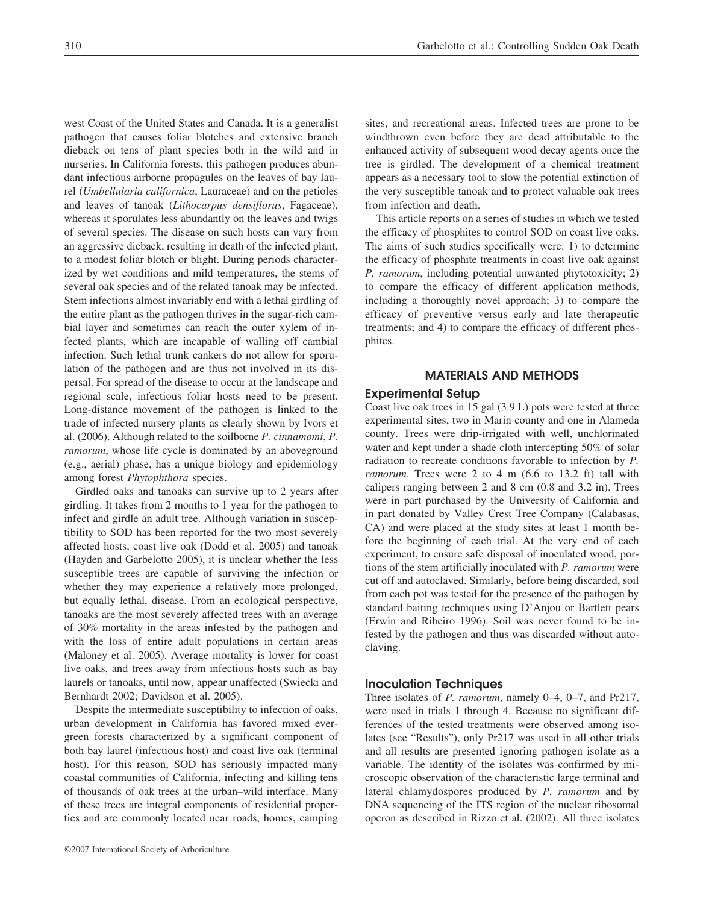west Coast of the United States and Canada. It is a generalist pathogen that causes foliar blotches and extensive branch dieback on tens of plant species both in the wild and in nurseries. In California forests, this pathogen produces abundant infectious airborne propagules on the leaves of bay laurel (*Umbellularia californica*, Lauraceae) and on the petioles and leaves of tanoak (*Lithocarpus densiflorus*, Fagaceae), whereas it sporulates less abundantly on the leaves and twigs of several species. The disease on such hosts can vary from an aggressive dieback, resulting in death of the infected plant, to a modest foliar blotch or blight. During periods characterized by wet conditions and mild temperatures, the stems of several oak species and of the related tanoak may be infected. Stem infections almost invariably end with a lethal girdling of the entire plant as the pathogen thrives in the sugar-rich cambial layer and sometimes can reach the outer xylem of infected plants, which are incapable of walling off cambial infection. Such lethal trunk cankers do not allow for sporulation of the pathogen and are thus not involved in its dispersal. For spread of the disease to occur at the landscape and regional scale, infectious foliar hosts need to be present. Long-distance movement of the pathogen is linked to the trade of infected nursery plants as clearly shown by Ivors et al. (2006). Although related to the soilborne *P. cinnamomi*, *P. ramorum*, whose life cycle is dominated by an aboveground (e.g., aerial) phase, has a unique biology and epidemiology among forest *Phytophthora* species.

Girdled oaks and tanoaks can survive up to 2 years after girdling. It takes from 2 months to 1 year for the pathogen to infect and girdle an adult tree. Although variation in susceptibility to SOD has been reported for the two most severely affected hosts, coast live oak (Dodd et al. 2005) and tanoak (Hayden and Garbelotto 2005), it is unclear whether the less susceptible trees are capable of surviving the infection or whether they may experience a relatively more prolonged, but equally lethal, disease. From an ecological perspective, tanoaks are the most severely affected trees with an average of 30% mortality in the areas infested by the pathogen and with the loss of entire adult populations in certain areas (Maloney et al. 2005). Average mortality is lower for coast live oaks, and trees away from infectious hosts such as bay laurels or tanoaks, until now, appear unaffected (Swiecki and Bernhardt 2002; Davidson et al. 2005).

Despite the intermediate susceptibility to infection of oaks, urban development in California has favored mixed evergreen forests characterized by a significant component of both bay laurel (infectious host) and coast live oak (terminal host). For this reason, SOD has seriously impacted many coastal communities of California, infecting and killing tens of thousands of oak trees at the urban–wild interface. Many of these trees are integral components of residential properties and are commonly located near roads, homes, camping

sites, and recreational areas. Infected trees are prone to be windthrown even before they are dead attributable to the enhanced activity of subsequent wood decay agents once the tree is girdled. The development of a chemical treatment appears as a necessary tool to slow the potential extinction of the very susceptible tanoak and to protect valuable oak trees from infection and death.

This article reports on a series of studies in which we tested the efficacy of phosphites to control SOD on coast live oaks. The aims of such studies specifically were: 1) to determine the efficacy of phosphite treatments in coast live oak against *P. ramorum*, including potential unwanted phytotoxicity; 2) to compare the efficacy of different application methods, including a thoroughly novel approach; 3) to compare the efficacy of preventive versus early and late therapeutic treatments; and 4) to compare the efficacy of different phosphites.

## **MATERIALS AND METHODS**

## **Experimental Setup**

Coast live oak trees in 15 gal (3.9 L) pots were tested at three experimental sites, two in Marin county and one in Alameda county. Trees were drip-irrigated with well, unchlorinated water and kept under a shade cloth intercepting 50% of solar radiation to recreate conditions favorable to infection by *P. ramorum*. Trees were 2 to 4 m (6.6 to 13.2 ft) tall with calipers ranging between 2 and 8 cm (0.8 and 3.2 in). Trees were in part purchased by the University of California and in part donated by Valley Crest Tree Company (Calabasas, CA) and were placed at the study sites at least 1 month before the beginning of each trial. At the very end of each experiment, to ensure safe disposal of inoculated wood, portions of the stem artificially inoculated with *P. ramorum* were cut off and autoclaved. Similarly, before being discarded, soil from each pot was tested for the presence of the pathogen by standard baiting techniques using D'Anjou or Bartlett pears (Erwin and Ribeiro 1996). Soil was never found to be infested by the pathogen and thus was discarded without autoclaving.

## **Inoculation Techniques**

Three isolates of *P. ramorum*, namely 0–4, 0–7, and Pr217, were used in trials 1 through 4. Because no significant differences of the tested treatments were observed among isolates (see "Results"), only Pr217 was used in all other trials and all results are presented ignoring pathogen isolate as a variable. The identity of the isolates was confirmed by microscopic observation of the characteristic large terminal and lateral chlamydospores produced by *P. ramorum* and by DNA sequencing of the ITS region of the nuclear ribosomal operon as described in Rizzo et al. (2002). All three isolates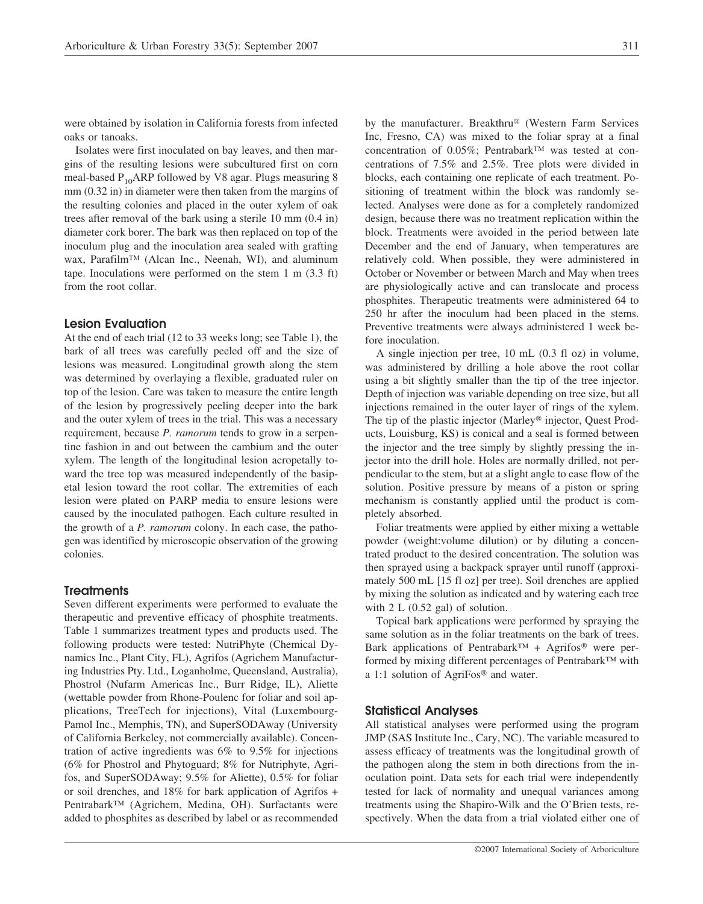were obtained by isolation in California forests from infected oaks or tanoaks.

Isolates were first inoculated on bay leaves, and then margins of the resulting lesions were subcultured first on corn meal-based  $P_{10}$ ARP followed by V8 agar. Plugs measuring 8 mm (0.32 in) in diameter were then taken from the margins of the resulting colonies and placed in the outer xylem of oak trees after removal of the bark using a sterile 10 mm (0.4 in) diameter cork borer. The bark was then replaced on top of the inoculum plug and the inoculation area sealed with grafting wax, Parafilm™ (Alcan Inc., Neenah, WI), and aluminum tape. Inoculations were performed on the stem 1 m (3.3 ft) from the root collar.

## **Lesion Evaluation**

At the end of each trial (12 to 33 weeks long; see Table 1), the bark of all trees was carefully peeled off and the size of lesions was measured. Longitudinal growth along the stem was determined by overlaying a flexible, graduated ruler on top of the lesion. Care was taken to measure the entire length of the lesion by progressively peeling deeper into the bark and the outer xylem of trees in the trial. This was a necessary requirement, because *P. ramorum* tends to grow in a serpentine fashion in and out between the cambium and the outer xylem. The length of the longitudinal lesion acropetally toward the tree top was measured independently of the basipetal lesion toward the root collar. The extremities of each lesion were plated on PARP media to ensure lesions were caused by the inoculated pathogen. Each culture resulted in the growth of a *P. ramorum* colony. In each case, the pathogen was identified by microscopic observation of the growing colonies.

#### **Treatments**

Seven different experiments were performed to evaluate the therapeutic and preventive efficacy of phosphite treatments. Table 1 summarizes treatment types and products used. The following products were tested: NutriPhyte (Chemical Dynamics Inc., Plant City, FL), Agrifos (Agrichem Manufacturing Industries Pty. Ltd., Loganholme, Queensland, Australia), Phostrol (Nufarm Americas Inc., Burr Ridge, IL), Aliette (wettable powder from Rhone-Poulenc for foliar and soil applications, TreeTech for injections), Vital (Luxembourg-Pamol Inc., Memphis, TN), and SuperSODAway (University of California Berkeley, not commercially available). Concentration of active ingredients was 6% to 9.5% for injections (6% for Phostrol and Phytoguard; 8% for Nutriphyte, Agrifos, and SuperSODAway; 9.5% for Aliette), 0.5% for foliar or soil drenches, and 18% for bark application of Agrifos + Pentrabark™ (Agrichem, Medina, OH). Surfactants were added to phosphites as described by label or as recommended by the manufacturer. Breakthru® (Western Farm Services Inc, Fresno, CA) was mixed to the foliar spray at a final concentration of 0.05%; Pentrabark™ was tested at concentrations of 7.5% and 2.5%. Tree plots were divided in blocks, each containing one replicate of each treatment. Positioning of treatment within the block was randomly selected. Analyses were done as for a completely randomized design, because there was no treatment replication within the block. Treatments were avoided in the period between late December and the end of January, when temperatures are relatively cold. When possible, they were administered in October or November or between March and May when trees are physiologically active and can translocate and process phosphites. Therapeutic treatments were administered 64 to 250 hr after the inoculum had been placed in the stems. Preventive treatments were always administered 1 week before inoculation.

A single injection per tree, 10 mL (0.3 fl oz) in volume, was administered by drilling a hole above the root collar using a bit slightly smaller than the tip of the tree injector. Depth of injection was variable depending on tree size, but all injections remained in the outer layer of rings of the xylem. The tip of the plastic injector (Marley® injector, Quest Products, Louisburg, KS) is conical and a seal is formed between the injector and the tree simply by slightly pressing the injector into the drill hole. Holes are normally drilled, not perpendicular to the stem, but at a slight angle to ease flow of the solution. Positive pressure by means of a piston or spring mechanism is constantly applied until the product is completely absorbed.

Foliar treatments were applied by either mixing a wettable powder (weight:volume dilution) or by diluting a concentrated product to the desired concentration. The solution was then sprayed using a backpack sprayer until runoff (approximately 500 mL [15 fl oz] per tree). Soil drenches are applied by mixing the solution as indicated and by watering each tree with  $2 L (0.52 \text{ gal})$  of solution.

Topical bark applications were performed by spraying the same solution as in the foliar treatments on the bark of trees. Bark applications of Pentrabark<sup>™</sup> + Agrifos<sup>®</sup> were performed by mixing different percentages of Pentrabark™ with a 1:1 solution of AgriFos<sup>®</sup> and water.

#### **Statistical Analyses**

All statistical analyses were performed using the program JMP (SAS Institute Inc., Cary, NC). The variable measured to assess efficacy of treatments was the longitudinal growth of the pathogen along the stem in both directions from the inoculation point. Data sets for each trial were independently tested for lack of normality and unequal variances among treatments using the Shapiro-Wilk and the O'Brien tests, respectively. When the data from a trial violated either one of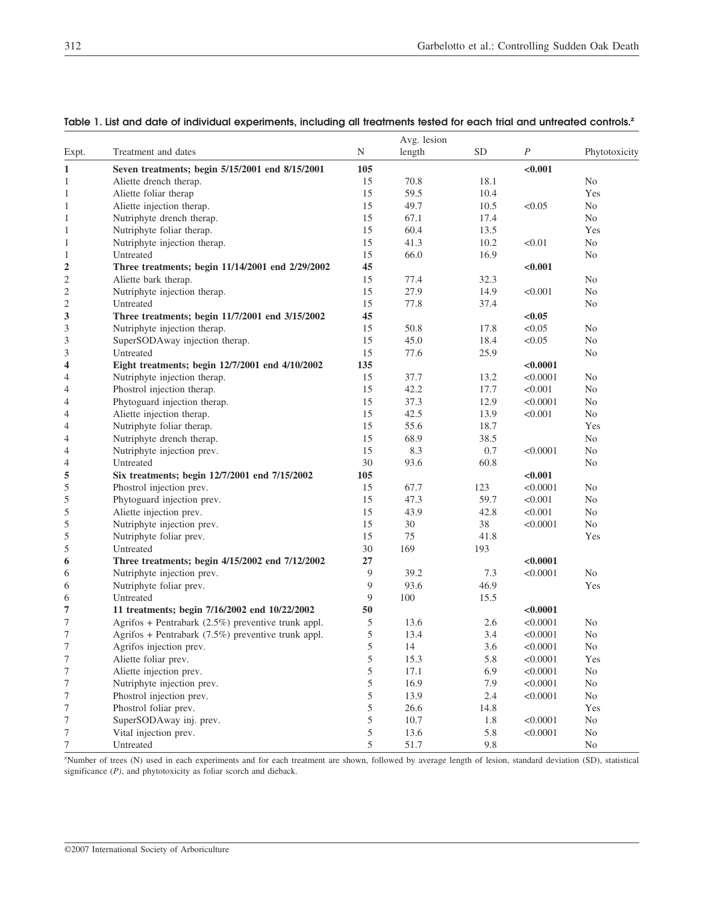| Expt.                   | Treatment and dates                                   |               | Avg. lesion |           |                  |                |
|-------------------------|-------------------------------------------------------|---------------|-------------|-----------|------------------|----------------|
|                         |                                                       | $\mathbf N$   | length      | <b>SD</b> | $\boldsymbol{P}$ | Phytotoxicity  |
| 1                       | Seven treatments; begin 5/15/2001 end 8/15/2001       | 105           |             |           | < 0.001          |                |
| 1                       | Aliette drench therap.                                | 15            | 70.8        | 18.1      |                  | N <sub>0</sub> |
| 1                       | Aliette foliar therap                                 | 15            | 59.5        | 10.4      |                  | Yes            |
| 1                       | Aliette injection therap.                             | 15            | 49.7        | 10.5      | < 0.05           | N <sub>0</sub> |
| 1                       | Nutriphyte drench therap.                             | 15            | 67.1        | 17.4      |                  | N <sub>0</sub> |
| 1                       | Nutriphyte foliar therap.                             | 15            | 60.4        | 13.5      |                  | Yes            |
| 1                       | Nutriphyte injection therap.                          | 15            | 41.3        | 10.2      | < 0.01           | N <sub>o</sub> |
| 1                       | Untreated                                             | 15            | 66.0        | 16.9      |                  | N <sub>0</sub> |
| $\overline{\mathbf{c}}$ | Three treatments; begin 11/14/2001 end 2/29/2002      | 45            |             |           | < 0.001          |                |
| $\overline{c}$          | Aliette bark therap.                                  | 15            | 77.4        | 32.3      |                  | N <sub>0</sub> |
| $\overline{c}$          | Nutriphyte injection therap.                          | 15            | 27.9        | 14.9      | < 0.001          | N <sub>o</sub> |
| $\overline{\mathbf{c}}$ | Untreated                                             | 15            | 77.8        | 37.4      |                  | N <sub>0</sub> |
| 3                       | Three treatments; begin 11/7/2001 end 3/15/2002       | 45            |             |           | < 0.05           |                |
| 3                       | Nutriphyte injection therap.                          | 15            | 50.8        | 17.8      | < 0.05           | N <sub>0</sub> |
| 3                       | SuperSODAway injection therap.                        | 15            | 45.0        | 18.4      | < 0.05           | N <sub>0</sub> |
| 3                       | Untreated                                             | 15            | 77.6        | 25.9      |                  | N <sub>0</sub> |
| 4                       | Eight treatments; begin 12/7/2001 end 4/10/2002       | 135           |             |           | < 0.0001         |                |
| 4                       | Nutriphyte injection therap.                          | 15            | 37.7        | 13.2      | < 0.0001         | N <sub>0</sub> |
| 4                       | Phostrol injection therap.                            | 15            | 42.2        | 17.7      | < 0.001          | N <sub>0</sub> |
| 4                       | Phytoguard injection therap.                          | 15            | 37.3        | 12.9      | < 0.0001         | N <sub>0</sub> |
| 4                       | Aliette injection therap.                             | 15            | 42.5        | 13.9      | < 0.001          | N <sub>o</sub> |
| 4                       | Nutriphyte foliar therap.                             | 15            | 55.6        | 18.7      |                  | Yes            |
| 4                       | Nutriphyte drench therap.                             | 15            | 68.9        | 38.5      |                  | N <sub>0</sub> |
| 4                       | Nutriphyte injection prev.                            | 15            | 8.3         | 0.7       | < 0.0001         | N <sub>0</sub> |
| 4                       | Untreated                                             | 30            | 93.6        | 60.8      |                  | N <sub>0</sub> |
| 5                       | Six treatments; begin 12/7/2001 end 7/15/2002         | 105           |             |           | < 0.001          |                |
| 5                       | Phostrol injection prev.                              | 15            | 67.7        | 123       | < 0.0001         | N <sub>0</sub> |
| 5                       | Phytoguard injection prev.                            | 15            | 47.3        | 59.7      | < 0.001          | N <sub>0</sub> |
| 5                       | Aliette injection prev.                               | 15            | 43.9        | 42.8      | < 0.001          | N <sub>0</sub> |
| 5                       | Nutriphyte injection prev.                            | 15            | 30          | 38        | < 0.0001         | N <sub>0</sub> |
| 5                       | Nutriphyte foliar prev.                               | 15            | 75          | 41.8      |                  | Yes            |
| 5                       | Untreated                                             | 30            | 169         | 193       |                  |                |
| 6                       | Three treatments; begin 4/15/2002 end 7/12/2002       | 27            |             |           | < 0.0001         |                |
| 6                       | Nutriphyte injection prev.                            | 9             | 39.2        | 7.3       | < 0.0001         | N <sub>0</sub> |
| 6                       | Nutriphyte foliar prev.                               | 9             | 93.6        | 46.9      |                  | Yes            |
| 6                       | Untreated                                             | 9             | 100         | 15.5      |                  |                |
| 7                       | 11 treatments; begin 7/16/2002 end 10/22/2002         | 50            |             |           | < 0.0001         |                |
| 7                       | Agrifos + Pentrabark $(2.5\%)$ preventive trunk appl. | 5             | 13.6        | 2.6       | < 0.0001         | N <sub>0</sub> |
| 7                       | Agrifos + Pentrabark (7.5%) preventive trunk appl.    | $\mathfrak s$ | 13.4        | 3.4       | < 0.0001         | $\rm No$       |
| 7                       | Agrifos injection prev.                               | 5             | 14          | 3.6       | < 0.0001         | No             |
| 7                       | Aliette foliar prev.                                  | 5             | 15.3        | 5.8       | < 0.0001         | Yes            |
| 7                       | Aliette injection prev.                               | 5             | 17.1        | 6.9       | < 0.0001         | No             |
| 7                       | Nutriphyte injection prev.                            | 5             | 16.9        | 7.9       | < 0.0001         | N <sub>0</sub> |
| 7                       | Phostrol injection prev.                              | 5             | 13.9        | $2.4\,$   | < 0.0001         | No             |
| 7                       | Phostrol foliar prev.                                 | 5             | 26.6        | 14.8      |                  | Yes            |
| 7                       | SuperSODAway inj. prev.                               | 5             | 10.7        | 1.8       | < 0.0001         | N <sub>0</sub> |
| 7                       | Vital injection prev.                                 | 5             | 13.6        | 5.8       | < 0.0001         | $\rm No$       |
|                         | Untreated                                             | 5             | 51.7        | $9.8\,$   |                  |                |
| 7                       |                                                       |               |             |           |                  | $\rm No$       |

## **Table 1. List and date of individual experiments, including all treatments tested for each trial and untreated controls.z**

z Number of trees (N) used in each experiments and for each treatment are shown, followed by average length of lesion, standard deviation (SD), statistical significance (*P)*, and phytotoxicity as foliar scorch and dieback.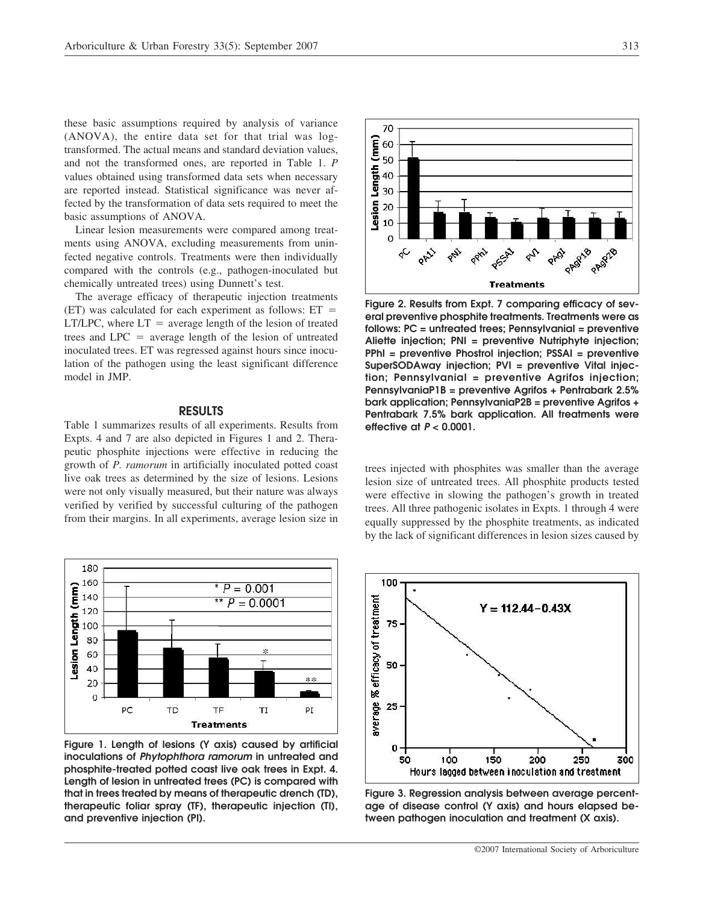these basic assumptions required by analysis of variance (ANOVA), the entire data set for that trial was logtransformed. The actual means and standard deviation values, and not the transformed ones, are reported in Table 1. *P* values obtained using transformed data sets when necessary are reported instead. Statistical significance was never affected by the transformation of data sets required to meet the basic assumptions of ANOVA.

Linear lesion measurements were compared among treatments using ANOVA, excluding measurements from uninfected negative controls. Treatments were then individually compared with the controls (e.g., pathogen-inoculated but chemically untreated trees) using Dunnett's test.

The average efficacy of therapeutic injection treatments  $(ET)$  was calculated for each experiment as follows:  $ET =$  $LT/LPC$ , where  $LT =$  average length of the lesion of treated trees and  $LPC =$  average length of the lesion of untreated inoculated trees. ET was regressed against hours since inoculation of the pathogen using the least significant difference model in JMP.

#### **RESULTS**

Table 1 summarizes results of all experiments. Results from Expts. 4 and 7 are also depicted in Figures 1 and 2. Therapeutic phosphite injections were effective in reducing the growth of *P. ramorum* in artificially inoculated potted coast live oak trees as determined by the size of lesions. Lesions were not only visually measured, but their nature was always verified by verified by successful culturing of the pathogen from their margins. In all experiments, average lesion size in



**Figure 1. Length of lesions (Y axis) caused by artificial inoculations of** *Phytophthora ramorum* **in untreated and phosphite-treated potted coast live oak trees in Expt. 4. Length of lesion in untreated trees (PC) is compared with that in trees treated by means of therapeutic drench (TD), therapeutic foliar spray (TF), therapeutic injection (TI), and preventive injection (PI).**



**Figure 2. Results from Expt. 7 comparing efficacy of several preventive phosphite treatments. Treatments were as follows: PC = untreated trees; PennsylvaniaI = preventive Aliette injection; PNI = preventive Nutriphyte injection; PPhI = preventive Phostrol injection; PSSAI = preventive SuperSODAway injection; PVI = preventive Vital injection; PennsylvaniaI = preventive Agrifos injection; PennsylvaniaP1B = preventive Agrifos + Pentrabark 2.5% bark application; PennsylvaniaP2B = preventive Agrifos + Pentrabark 7.5% bark application. All treatments were effective at** *P* **< 0.0001.**

trees injected with phosphites was smaller than the average lesion size of untreated trees. All phosphite products tested were effective in slowing the pathogen's growth in treated trees. All three pathogenic isolates in Expts. 1 through 4 were equally suppressed by the phosphite treatments, as indicated by the lack of significant differences in lesion sizes caused by



**Figure 3. Regression analysis between average percentage of disease control (Y axis) and hours elapsed between pathogen inoculation and treatment (X axis).**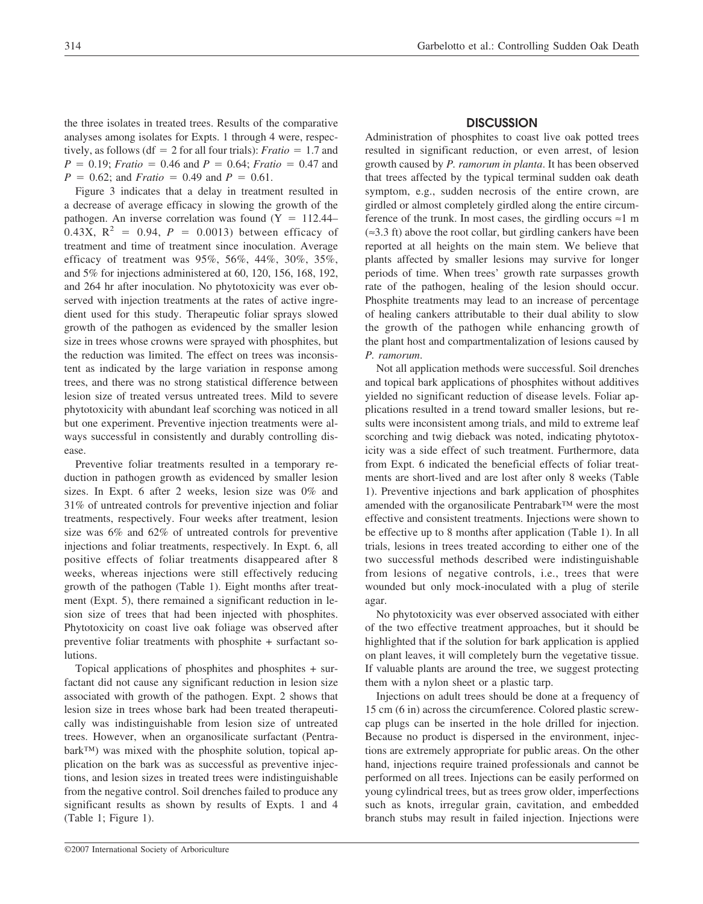the three isolates in treated trees. Results of the comparative analyses among isolates for Expts. 1 through 4 were, respectively, as follows ( $df = 2$  for all four trials): *Fratio* = 1.7 and  $P = 0.19$ ; *Fratio* = 0.46 and  $P = 0.64$ ; *Fratio* = 0.47 and  $P = 0.62$ ; and *Fratio* = 0.49 and  $P = 0.61$ .

Figure 3 indicates that a delay in treatment resulted in a decrease of average efficacy in slowing the growth of the pathogen. An inverse correlation was found  $(Y = 112.44-$ 0.43X,  $R^2 = 0.94$ ,  $P = 0.0013$ ) between efficacy of treatment and time of treatment since inoculation. Average efficacy of treatment was 95%, 56%, 44%, 30%, 35%, and 5% for injections administered at 60, 120, 156, 168, 192, and 264 hr after inoculation. No phytotoxicity was ever observed with injection treatments at the rates of active ingredient used for this study. Therapeutic foliar sprays slowed growth of the pathogen as evidenced by the smaller lesion size in trees whose crowns were sprayed with phosphites, but the reduction was limited. The effect on trees was inconsistent as indicated by the large variation in response among trees, and there was no strong statistical difference between lesion size of treated versus untreated trees. Mild to severe phytotoxicity with abundant leaf scorching was noticed in all but one experiment. Preventive injection treatments were always successful in consistently and durably controlling disease.

Preventive foliar treatments resulted in a temporary reduction in pathogen growth as evidenced by smaller lesion sizes. In Expt. 6 after 2 weeks, lesion size was 0% and 31% of untreated controls for preventive injection and foliar treatments, respectively. Four weeks after treatment, lesion size was 6% and 62% of untreated controls for preventive injections and foliar treatments, respectively. In Expt. 6, all positive effects of foliar treatments disappeared after 8 weeks, whereas injections were still effectively reducing growth of the pathogen (Table 1). Eight months after treatment (Expt. 5), there remained a significant reduction in lesion size of trees that had been injected with phosphites. Phytotoxicity on coast live oak foliage was observed after preventive foliar treatments with phosphite + surfactant solutions.

Topical applications of phosphites and phosphites + surfactant did not cause any significant reduction in lesion size associated with growth of the pathogen. Expt. 2 shows that lesion size in trees whose bark had been treated therapeutically was indistinguishable from lesion size of untreated trees. However, when an organosilicate surfactant (Pentrabark™) was mixed with the phosphite solution, topical application on the bark was as successful as preventive injections, and lesion sizes in treated trees were indistinguishable from the negative control. Soil drenches failed to produce any significant results as shown by results of Expts. 1 and 4 (Table 1; Figure 1).

#### **DISCUSSION**

Administration of phosphites to coast live oak potted trees resulted in significant reduction, or even arrest, of lesion growth caused by *P. ramorum in planta*. It has been observed that trees affected by the typical terminal sudden oak death symptom, e.g., sudden necrosis of the entire crown, are girdled or almost completely girdled along the entire circumference of the trunk. In most cases, the girdling occurs  $\approx$ 1 m  $(\approx 3.3 \text{ ft})$  above the root collar, but girdling cankers have been reported at all heights on the main stem. We believe that plants affected by smaller lesions may survive for longer periods of time. When trees' growth rate surpasses growth rate of the pathogen, healing of the lesion should occur. Phosphite treatments may lead to an increase of percentage of healing cankers attributable to their dual ability to slow the growth of the pathogen while enhancing growth of the plant host and compartmentalization of lesions caused by *P. ramorum*.

Not all application methods were successful. Soil drenches and topical bark applications of phosphites without additives yielded no significant reduction of disease levels. Foliar applications resulted in a trend toward smaller lesions, but results were inconsistent among trials, and mild to extreme leaf scorching and twig dieback was noted, indicating phytotoxicity was a side effect of such treatment. Furthermore, data from Expt. 6 indicated the beneficial effects of foliar treatments are short-lived and are lost after only 8 weeks (Table 1). Preventive injections and bark application of phosphites amended with the organosilicate Pentrabark™ were the most effective and consistent treatments. Injections were shown to be effective up to 8 months after application (Table 1). In all trials, lesions in trees treated according to either one of the two successful methods described were indistinguishable from lesions of negative controls, i.e., trees that were wounded but only mock-inoculated with a plug of sterile agar.

No phytotoxicity was ever observed associated with either of the two effective treatment approaches, but it should be highlighted that if the solution for bark application is applied on plant leaves, it will completely burn the vegetative tissue. If valuable plants are around the tree, we suggest protecting them with a nylon sheet or a plastic tarp.

Injections on adult trees should be done at a frequency of 15 cm (6 in) across the circumference. Colored plastic screwcap plugs can be inserted in the hole drilled for injection. Because no product is dispersed in the environment, injections are extremely appropriate for public areas. On the other hand, injections require trained professionals and cannot be performed on all trees. Injections can be easily performed on young cylindrical trees, but as trees grow older, imperfections such as knots, irregular grain, cavitation, and embedded branch stubs may result in failed injection. Injections were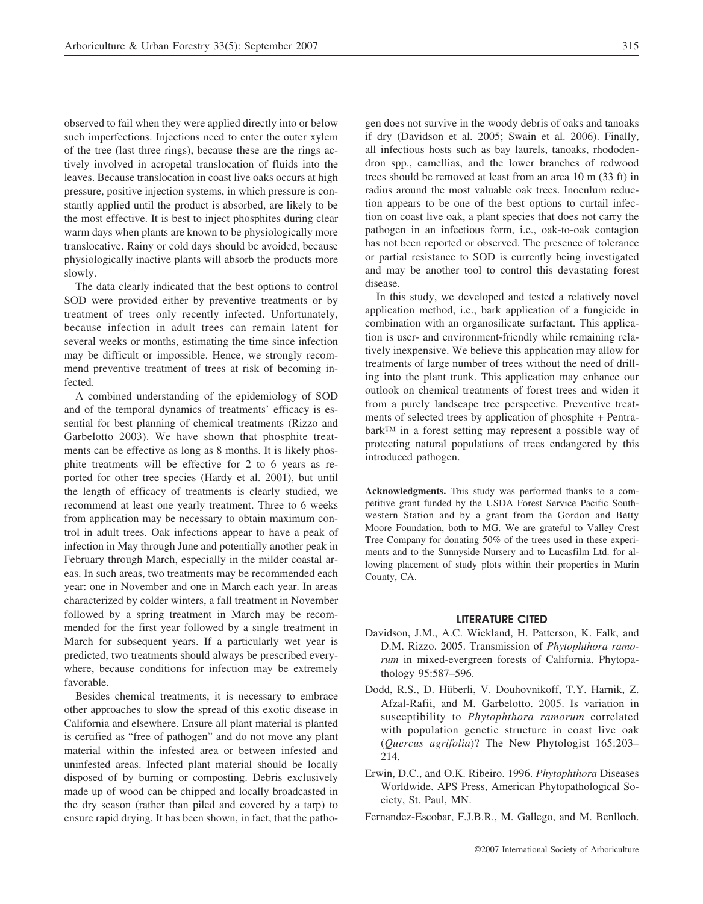observed to fail when they were applied directly into or below such imperfections. Injections need to enter the outer xylem of the tree (last three rings), because these are the rings actively involved in acropetal translocation of fluids into the leaves. Because translocation in coast live oaks occurs at high pressure, positive injection systems, in which pressure is constantly applied until the product is absorbed, are likely to be the most effective. It is best to inject phosphites during clear warm days when plants are known to be physiologically more translocative. Rainy or cold days should be avoided, because physiologically inactive plants will absorb the products more slowly.

The data clearly indicated that the best options to control SOD were provided either by preventive treatments or by treatment of trees only recently infected. Unfortunately, because infection in adult trees can remain latent for several weeks or months, estimating the time since infection may be difficult or impossible. Hence, we strongly recommend preventive treatment of trees at risk of becoming infected.

A combined understanding of the epidemiology of SOD and of the temporal dynamics of treatments' efficacy is essential for best planning of chemical treatments (Rizzo and Garbelotto 2003). We have shown that phosphite treatments can be effective as long as 8 months. It is likely phosphite treatments will be effective for 2 to 6 years as reported for other tree species (Hardy et al. 2001), but until the length of efficacy of treatments is clearly studied, we recommend at least one yearly treatment. Three to 6 weeks from application may be necessary to obtain maximum control in adult trees. Oak infections appear to have a peak of infection in May through June and potentially another peak in February through March, especially in the milder coastal areas. In such areas, two treatments may be recommended each year: one in November and one in March each year. In areas characterized by colder winters, a fall treatment in November followed by a spring treatment in March may be recommended for the first year followed by a single treatment in March for subsequent years. If a particularly wet year is predicted, two treatments should always be prescribed everywhere, because conditions for infection may be extremely favorable.

Besides chemical treatments, it is necessary to embrace other approaches to slow the spread of this exotic disease in California and elsewhere. Ensure all plant material is planted is certified as "free of pathogen" and do not move any plant material within the infested area or between infested and uninfested areas. Infected plant material should be locally disposed of by burning or composting. Debris exclusively made up of wood can be chipped and locally broadcasted in the dry season (rather than piled and covered by a tarp) to ensure rapid drying. It has been shown, in fact, that the pathogen does not survive in the woody debris of oaks and tanoaks if dry (Davidson et al. 2005; Swain et al. 2006). Finally, all infectious hosts such as bay laurels, tanoaks, rhododendron spp., camellias, and the lower branches of redwood trees should be removed at least from an area 10 m (33 ft) in radius around the most valuable oak trees. Inoculum reduction appears to be one of the best options to curtail infection on coast live oak, a plant species that does not carry the pathogen in an infectious form, i.e., oak-to-oak contagion has not been reported or observed. The presence of tolerance or partial resistance to SOD is currently being investigated and may be another tool to control this devastating forest disease.

In this study, we developed and tested a relatively novel application method, i.e., bark application of a fungicide in combination with an organosilicate surfactant. This application is user- and environment-friendly while remaining relatively inexpensive. We believe this application may allow for treatments of large number of trees without the need of drilling into the plant trunk. This application may enhance our outlook on chemical treatments of forest trees and widen it from a purely landscape tree perspective. Preventive treatments of selected trees by application of phosphite + Pentrabark™ in a forest setting may represent a possible way of protecting natural populations of trees endangered by this introduced pathogen.

**Acknowledgments.** This study was performed thanks to a competitive grant funded by the USDA Forest Service Pacific Southwestern Station and by a grant from the Gordon and Betty Moore Foundation, both to MG. We are grateful to Valley Crest Tree Company for donating 50% of the trees used in these experiments and to the Sunnyside Nursery and to Lucasfilm Ltd. for allowing placement of study plots within their properties in Marin County, CA.

#### **LITERATURE CITED**

- Davidson, J.M., A.C. Wickland, H. Patterson, K. Falk, and D.M. Rizzo. 2005. Transmission of *Phytophthora ramorum* in mixed-evergreen forests of California. Phytopathology 95:587–596.
- Dodd, R.S., D. Hüberli, V. Douhovnikoff, T.Y. Harnik, Z. Afzal-Rafii, and M. Garbelotto. 2005. Is variation in susceptibility to *Phytophthora ramorum* correlated with population genetic structure in coast live oak (*Quercus agrifolia*)? The New Phytologist 165:203– 214.
- Erwin, D.C., and O.K. Ribeiro. 1996. *Phytophthora* Diseases Worldwide. APS Press, American Phytopathological Society, St. Paul, MN.

Fernandez-Escobar, F.J.B.R., M. Gallego, and M. Benlloch.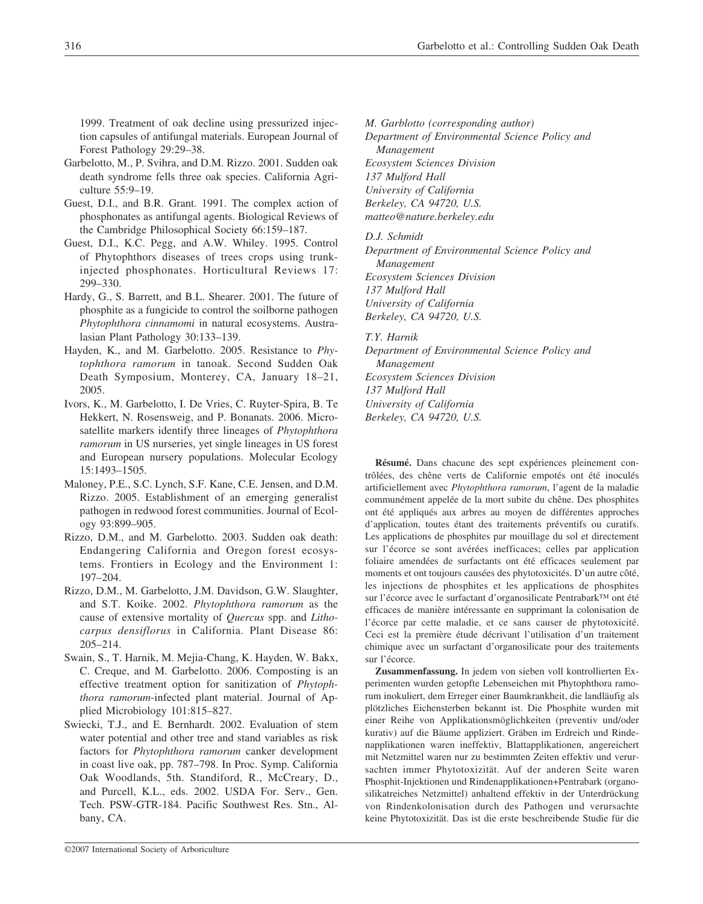1999. Treatment of oak decline using pressurized injection capsules of antifungal materials. European Journal of Forest Pathology 29:29–38.

- Garbelotto, M., P. Svihra, and D.M. Rizzo. 2001. Sudden oak death syndrome fells three oak species. California Agriculture 55:9–19.
- Guest, D.I., and B.R. Grant. 1991. The complex action of phosphonates as antifungal agents. Biological Reviews of the Cambridge Philosophical Society 66:159–187.
- Guest, D.I., K.C. Pegg, and A.W. Whiley. 1995. Control of Phytophthors diseases of trees crops using trunkinjected phosphonates. Horticultural Reviews 17: 299–330.
- Hardy, G., S. Barrett, and B.L. Shearer. 2001. The future of phosphite as a fungicide to control the soilborne pathogen *Phytophthora cinnamomi* in natural ecosystems. Australasian Plant Pathology 30:133–139.
- Hayden, K., and M. Garbelotto. 2005. Resistance to *Phytophthora ramorum* in tanoak. Second Sudden Oak Death Symposium, Monterey, CA, January 18–21, 2005.
- Ivors, K., M. Garbelotto, I. De Vries, C. Ruyter-Spira, B. Te Hekkert, N. Rosensweig, and P. Bonanats. 2006. Microsatellite markers identify three lineages of *Phytophthora ramorum* in US nurseries, yet single lineages in US forest and European nursery populations. Molecular Ecology 15:1493–1505.
- Maloney, P.E., S.C. Lynch, S.F. Kane, C.E. Jensen, and D.M. Rizzo. 2005. Establishment of an emerging generalist pathogen in redwood forest communities. Journal of Ecology 93:899–905.
- Rizzo, D.M., and M. Garbelotto. 2003. Sudden oak death: Endangering California and Oregon forest ecosystems. Frontiers in Ecology and the Environment 1: 197–204.
- Rizzo, D.M., M. Garbelotto, J.M. Davidson, G.W. Slaughter, and S.T. Koike. 2002. *Phytophthora ramorum* as the cause of extensive mortality of *Quercus* spp. and *Lithocarpus densiflorus* in California. Plant Disease 86: 205–214.
- Swain, S., T. Harnik, M. Mejia-Chang, K. Hayden, W. Bakx, C. Creque, and M. Garbelotto. 2006. Composting is an effective treatment option for sanitization of *Phytophthora ramorum*-infected plant material. Journal of Applied Microbiology 101:815–827.
- Swiecki, T.J., and E. Bernhardt. 2002. Evaluation of stem water potential and other tree and stand variables as risk factors for *Phytophthora ramorum* canker development in coast live oak, pp. 787–798. In Proc. Symp. California Oak Woodlands, 5th. Standiford, R., McCreary, D., and Purcell, K.L., eds. 2002. USDA For. Serv., Gen. Tech. PSW-GTR-184. Pacific Southwest Res. Stn., Albany, CA.

*Department of Environmental Science Policy and Management Ecosystem Sciences Division 137 Mulford Hall University of California Berkeley, CA 94720, U.S. matteo@nature.berkeley.edu*

*M. Garblotto (corresponding author)*

### *D.J. Schmidt*

*Department of Environmental Science Policy and Management Ecosystem Sciences Division 137 Mulford Hall University of California Berkeley, CA 94720, U.S.*

#### *T.Y. Harnik*

*Department of Environmental Science Policy and Management Ecosystem Sciences Division 137 Mulford Hall University of California Berkeley, CA 94720, U.S.*

**Résumé.** Dans chacune des sept expériences pleinement contrôlées, des chêne verts de Californie empotés ont été inoculés artificiellement avec *Phytophthora ramorum*, l'agent de la maladie communément appelée de la mort subite du chêne. Des phosphites ont été appliqués aux arbres au moyen de différentes approches d'application, toutes étant des traitements préventifs ou curatifs. Les applications de phosphites par mouillage du sol et directement sur l'écorce se sont avérées inefficaces; celles par application foliaire amendées de surfactants ont été efficaces seulement par moments et ont toujours causées des phytotoxicités. D'un autre côté, les injections de phosphites et les applications de phosphites sur l'écorce avec le surfactant d'organosilicate Pentrabark™ ont été efficaces de manière intéressante en supprimant la colonisation de l'écorce par cette maladie, et ce sans causer de phytotoxicité. Ceci est la première étude décrivant l'utilisation d'un traitement chimique avec un surfactant d'organosilicate pour des traitements sur l'écorce.

**Zusammenfassung.** In jedem von sieben voll kontrollierten Experimenten wurden getopfte Lebenseichen mit Phytophthora ramorum inokuliert, dem Erreger einer Baumkrankheit, die landläufig als plötzliches Eichensterben bekannt ist. Die Phosphite wurden mit einer Reihe von Applikationsmöglichkeiten (preventiv und/oder kurativ) auf die Bäume appliziert. Gräben im Erdreich und Rindenapplikationen waren ineffektiv, Blattapplikationen, angereichert mit Netzmittel waren nur zu bestimmten Zeiten effektiv und verursachten immer Phytotoxizität. Auf der anderen Seite waren Phosphit-Injektionen und Rindenapplikationen+Pentrabark (organosilikatreiches Netzmittel) anhaltend effektiv in der Unterdrückung von Rindenkolonisation durch des Pathogen und verursachte keine Phytotoxizität. Das ist die erste beschreibende Studie für die